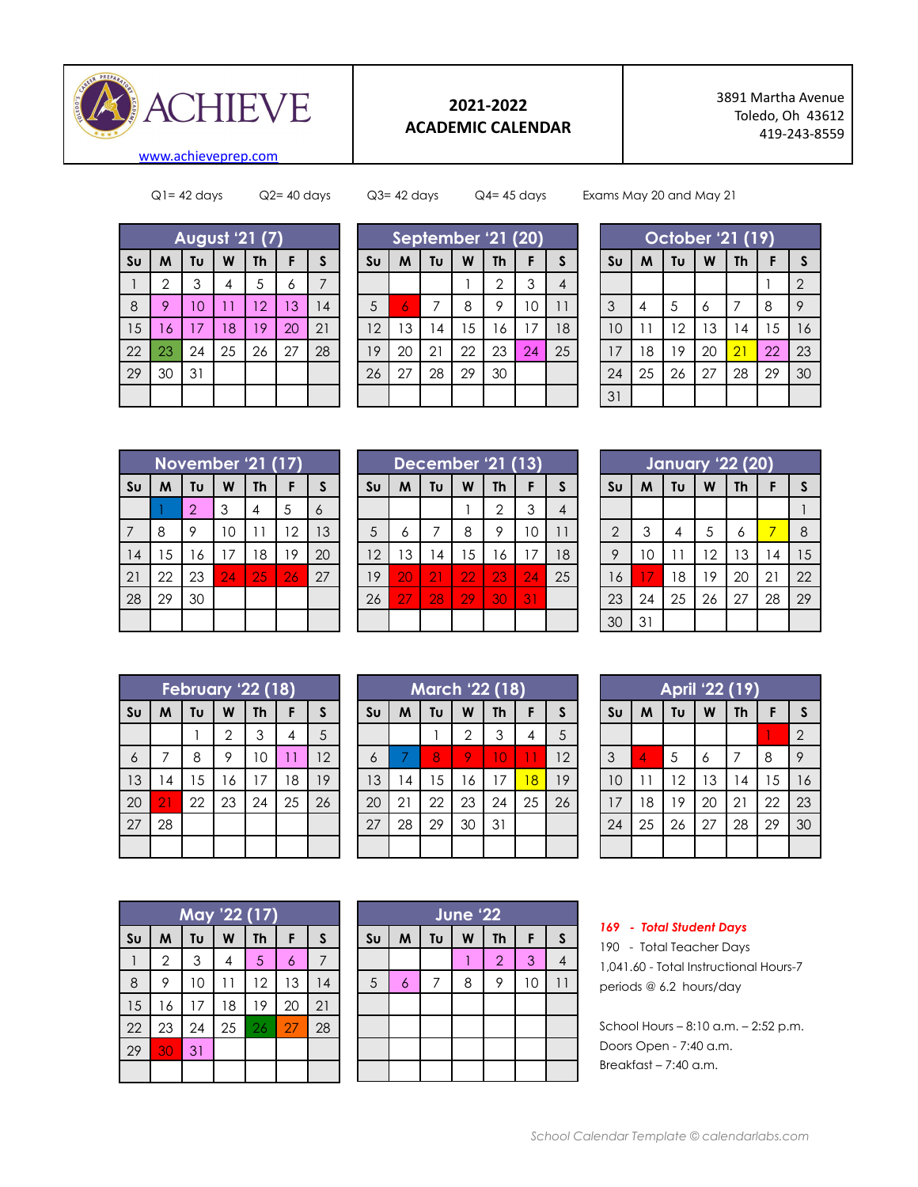

## **2021-2022 ACADEMIC CALENDAR**

 Martha Avenue Toledo, Oh 43612 419-243-8559

[www.achieveprep.com](http://www.achieveprep.com)

Q1= 42 days Q2= 40 days Q3= 42 days Q4= 45 days Exams May 20 and May 21

| <b>August '21 (7)</b> |                |    |    |           |    |    |
|-----------------------|----------------|----|----|-----------|----|----|
| S <sub>U</sub>        | M              | Tυ | W  | <b>Th</b> | F  | S  |
|                       | $\overline{2}$ | 3  | 4  | 5         | 6  | 7  |
| 8                     | 9              | 10 | 11 | 12        | 13 | 4  |
| 15                    | 16             | 17 | 18 | 19        | 20 | 21 |
| 22                    | 23             | 24 | 25 | 26        | 27 | 28 |
| 29                    | 30             | 31 |    |           |    |    |
|                       |                |    |    |           |    |    |

| September '21 (20) |    |    |    |                |    |    |
|--------------------|----|----|----|----------------|----|----|
| S <sub>U</sub>     | M  | Tu | W  | <b>Th</b>      | F  | S  |
|                    |    |    |    | $\overline{2}$ | 3  | 4  |
| 5                  | 6  | 7  | 8  | 9              | 10 |    |
| 12                 | 13 | 4  | 15 | 16             | 17 | 18 |
| 19                 | 20 | 21 | 22 | 23             | 24 | 25 |
| 26                 | 27 | 28 | 29 | 30             |    |    |
|                    |    |    |    |                |    |    |

| October '21 (19) |    |    |    |           |    |                |
|------------------|----|----|----|-----------|----|----------------|
| S <sub>U</sub>   | M  | Tυ | W  | <b>Th</b> | F  | S              |
|                  |    |    |    |           |    | $\overline{2}$ |
| 3                | 4  | 5  | 6  | 7         | 8  | 9              |
| 10               | 11 | 12 | 13 | 14        | 15 | 16             |
| 17               | 18 | 19 | 20 | 21        | 22 | 23             |
| 24               | 25 | 26 | 27 | 28        | 29 | 30             |
| 31               |    |    |    |           |    |                |

| <b>November '21 (17)</b> |    |                |    |           |    |              |
|--------------------------|----|----------------|----|-----------|----|--------------|
| S <sub>U</sub>           | M  | Tu             | W  | <b>Th</b> | F  | $\mathsf{s}$ |
|                          |    | $\overline{2}$ | 3  | 4         | 5  | 6            |
| 7                        | 8  | 9              | 10 | 11        | 12 | 13           |
| 14                       | 15 | 16             | 17 | 18        | 19 | 20           |
| 21                       | 22 | 23             | 24 | 25        | 26 | 27           |
| 28                       | 29 | 30             |    |           |    |              |
|                          |    |                |    |           |    |              |

| December '21 (13) |    |    |    |                |    |    |
|-------------------|----|----|----|----------------|----|----|
| S <sub>U</sub>    | M  | Tu | W  | Th             | F  | S  |
|                   |    |    |    | $\overline{2}$ | 3  |    |
| 5                 | 6  | 7  | 8  | 9              | 10 |    |
| 12                | 13 | 14 | 15 | 16             | 17 | 18 |
| 19                | 20 | 21 | 22 | 23             | 24 | 25 |
| 26                | 27 | 28 | 29 | 30             | 31 |    |
|                   |    |    |    |                |    |    |

| <b>January '22 (20)</b> |    |    |    |           |    |              |
|-------------------------|----|----|----|-----------|----|--------------|
| S <sub>U</sub>          | M  | Tυ | W  | <b>Th</b> | F  | $\mathsf{s}$ |
|                         |    |    |    |           |    |              |
| $\overline{2}$          | 3  | 4  | 5  | 6         | 7  | 8            |
| 9                       | 10 |    | 12 | 13        | 14 | 15           |
| 16                      | 17 | 18 | 19 | 20        | 21 | 22           |
| 23                      | 24 | 25 | 26 | 27        | 28 | 29           |
| 30                      | 31 |    |    |           |    |              |

|                | February '22 (18) |    |                |           |    |              |
|----------------|-------------------|----|----------------|-----------|----|--------------|
| S <sub>U</sub> | M                 | Tu | W              | <b>Th</b> | F  | $\mathsf{s}$ |
|                |                   |    | $\overline{2}$ | 3         | 4  | 5            |
| $\overline{6}$ | 7                 | 8  | 9              | 10        | 11 | 12           |
| 13             | $\overline{14}$   | 15 | 16             | 17        | 18 | 19           |
| 20             | 21                | 22 | 23             | 24        | 25 | 26           |
| 27             | 28                |    |                |           |    |              |
|                |                   |    |                |           |    |              |

| <b>March '22 (18)</b> |    |    |              |           |    |              |
|-----------------------|----|----|--------------|-----------|----|--------------|
| S <sub>U</sub>        | M  | Tυ | W            | <b>Th</b> | F  | $\mathsf{s}$ |
|                       |    |    | $\mathbf{2}$ | 3         | 4  | 5            |
| 6                     |    | 8  |              | 10        |    | 12           |
| 13                    | 4  | 15 | 16           | 17        | 18 | 19           |
| 20                    | 21 | 22 | 23           | 24        | 25 | 26           |
| 27                    | 28 | 29 | 30           | 31        |    |              |
|                       |    |    |              |           |    |              |

|                | May '22 (17)   |    |              |    |    |    |
|----------------|----------------|----|--------------|----|----|----|
| S <sub>U</sub> | M              | Tu | W            | Th | F  | S  |
|                | $\overline{2}$ | 3  | 4            | 5  | 6  | 7  |
| 8              | 9              | 10 | $\mathbf{1}$ | 12 | 13 | 14 |
| 15             | 16             | 17 | 18           | 19 | 20 | 21 |
| 22             | 23             | 24 | 25           | 26 | 27 | 28 |
| 29             | 30             | 31 |              |    |    |    |
|                |                |    |              |    |    |    |

| <b>June '22</b>        |                |                |   |                |    |              |  |
|------------------------|----------------|----------------|---|----------------|----|--------------|--|
| $\mathsf{S}\mathsf{u}$ | M              | Tυ             | W | <b>Th</b>      | F  | $\mathsf{s}$ |  |
|                        |                |                |   | $\overline{2}$ | 3  |              |  |
| 5                      | $\overline{6}$ | $\overline{7}$ | 8 | 9              | 10 | 11           |  |
|                        |                |                |   |                |    |              |  |
|                        |                |                |   |                |    |              |  |
|                        |                |                |   |                |    |              |  |
|                        |                |                |   |                |    |              |  |

| April '22 (19) |    |    |    |           |    |                |
|----------------|----|----|----|-----------|----|----------------|
| S <sub>U</sub> | M  | Tu | W  | <b>Th</b> | F  | S              |
|                |    |    |    |           |    | $\overline{2}$ |
| 3              | 4  | 5  | 6  | 7         | 8  | 9              |
| 10             |    | 12 | 13 | 14        | 15 | 16             |
| 17             | 18 | 19 | 20 | 21        | 22 | 23             |
| 24             | 25 | 26 | 27 | 28        | 29 | 30             |
|                |    |    |    |           |    |                |

## *- Total Student Days*

 - Total Teacher Days 1,041.60 - Total Instructional Hours-7 periods @ 6.2 hours/day

School Hours – 8:10 a.m. – 2:52 p.m. Doors Open - 7:40 a.m. Breakfast – 7:40 a.m.